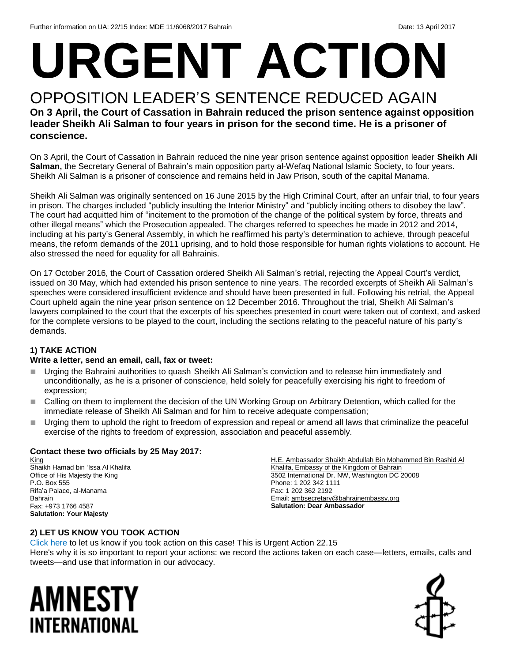# **URGENT ACTION**

#### OPPOSITION LEADER'S SENTENCE REDUCED AGAIN **On 3 April, the Court of Cassation in Bahrain reduced the prison sentence against opposition leader Sheikh Ali Salman to four years in prison for the second time. He is a prisoner of conscience.**

On 3 April, the Court of Cassation in Bahrain reduced the nine year prison sentence against opposition leader **Sheikh Ali Salman,** the Secretary General of Bahrain's main opposition party al-Wefaq National Islamic Society, to four years**.**  Sheikh Ali Salman is a prisoner of conscience and remains held in Jaw Prison, south of the capital Manama.

Sheikh Ali Salman was originally sentenced on 16 June 2015 by the High Criminal Court, after an unfair trial, to four years in prison. The charges included "publicly insulting the Interior Ministry" and "publicly inciting others to disobey the law". The court had acquitted him of "incitement to the promotion of the change of the political system by force, threats and other illegal means" which the Prosecution appealed. The charges referred to speeches he made in 2012 and 2014, including at his party's General Assembly, in which he reaffirmed his party's determination to achieve, through peaceful means, the reform demands of the 2011 uprising, and to hold those responsible for human rights violations to account. He also stressed the need for equality for all Bahrainis.

On 17 October 2016, the Court of Cassation ordered Sheikh Ali Salman's retrial, rejecting the Appeal Court's verdict, issued on 30 May, which had extended his prison sentence to nine years. The recorded excerpts of Sheikh Ali Salman's speeches were considered insufficient evidence and should have been presented in full. Following his retrial, the Appeal Court upheld again the nine year prison sentence on 12 December 2016. Throughout the trial, Sheikh Ali Salman's lawyers complained to the court that the excerpts of his speeches presented in court were taken out of context, and asked for the complete versions to be played to the court, including the sections relating to the peaceful nature of his party's demands.

#### **1) TAKE ACTION**

#### **Write a letter, send an email, call, fax or tweet:**

- Urging the Bahraini authorities to quash Sheikh Ali Salman's conviction and to release him immediately and unconditionally, as he is a prisoner of conscience, held solely for peacefully exercising his right to freedom of expression;
- Calling on them to implement the decision of the UN Working Group on Arbitrary Detention, which called for the immediate release of Sheikh Ali Salman and for him to receive adequate compensation;
- Urging them to uphold the right to freedom of expression and repeal or amend all laws that criminalize the peaceful exercise of the rights to freedom of expression, association and peaceful assembly.

#### **Contact these two officials by 25 May 2017:**

King Shaikh Hamad bin 'Issa Al Khalifa Office of His Majesty the King P.O. Box 555 Rifa'a Palace, al-Manama Bahrain Fax: +973 1766 4587 **Salutation: Your Majesty**

H.E. Ambassador Shaikh Abdullah Bin Mohammed Bin Rashid Al Khalifa, Embassy of the Kingdom of Bahrain 3502 International Dr. NW, Washington DC 20008 Phone: 1 202 342 1111 Fax: 1 202 362 2192 Email[: ambsecretary@bahrainembassy.org](mailto:ambsecretary@bahrainembassy.org) **Salutation: Dear Ambassador**

#### **2) LET US KNOW YOU TOOK ACTION**

[Click here](https://docs.google.com/forms/d/e/1FAIpQLScIt-IKXjz0vOhKI-Te7gy7EmtiwCq5D-fD6EGVHOxNcvUgKw/viewform) to let us know if you took action on this case! This is Urgent Action 22.15 Here's why it is so important to report your actions: we record the actions taken on each case—letters, emails, calls and tweets—and use that information in our advocacy.